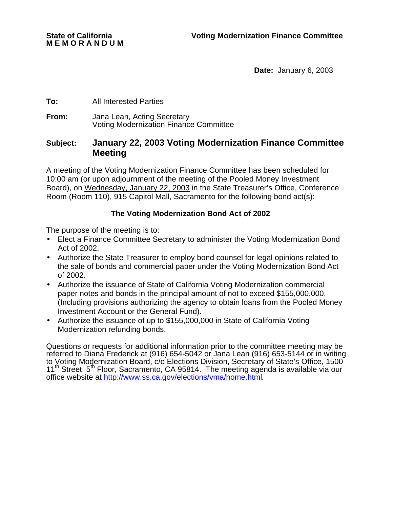**Date:** January 6, 2003

#### **To:** All Interested Parties

**From:** Jana Lean, Acting Secretary Voting Modernization Finance Committee

## **Subject: January 22, 2003 Voting Modernization Finance Committee Meeting**

A meeting of the Voting Modernization Finance Committee has been scheduled for 10:00 am (or upon adjournment of the meeting of the Pooled Money Investment Board), on Wednesday, January 22, 2003 in the State Treasurer's Office, Conference Room (Room 110), 915 Capitol Mall, Sacramento for the following bond act(s):

### **The Voting Modernization Bond Act of 2002**

The purpose of the meeting is to:

- Elect a Finance Committee Secretary to administer the Voting Modernization Bond Act of 2002.
- Authorize the State Treasurer to employ bond counsel for legal opinions related to the sale of bonds and commercial paper under the Voting Modernization Bond Act of 2002.
- Authorize the issuance of State of California Voting Modernization commercial paper notes and bonds in the principal amount of not to exceed \$155,000,000. (Including provisions authorizing the agency to obtain loans from the Pooled Money Investment Account or the General Fund).
- Authorize the issuance of up to \$155,000,000 in State of California Voting Modernization refunding bonds.

Questions or requests for additional information prior to the committee meeting may be referred to Diana Frederick at (916) 654-5042 or Jana Lean (916) 653-5144 or in writing to Voting Modernization Board, c/o Elections Division, Secretary of State's Office, 1500 11<sup>th</sup> Street, 5<sup>th</sup> Floor, Sacramento, CA 95814. The meeting agenda is available via our office website at http://www.ss.ca.gov/elections/vma/home.html.